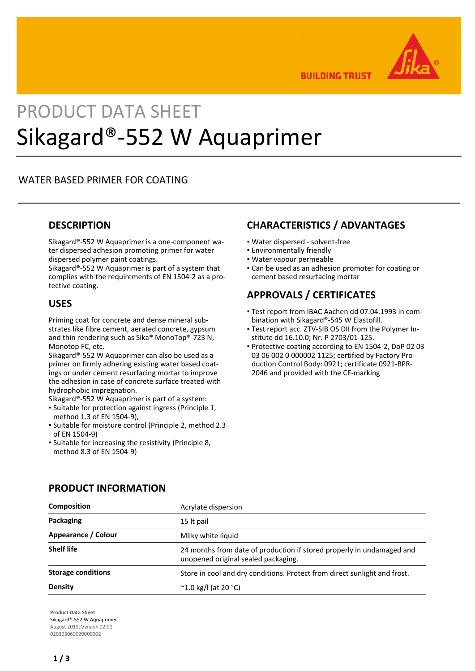

**BUILDING TRUST** 

# PRODUCT DATA SHEET Sikagard®-552 W Aquaprimer

## WATER BASED PRIMER FOR COATING

## **DESCRIPTION**

Sikagard®-552 W Aquaprimer is a one-component water dispersed adhesion promoting primer for water dispersed polymer paint coatings.

Sikagard®-552 W Aquaprimer is part of a system that complies with the requirements of EN 1504-2 as a protective coating.

### **USES**

Priming coat for concrete and dense mineral substrates like fibre cement, aerated concrete, gypsum and thin rendering such as Sika® MonoTop®-723 N, Monotop FC, etc.

Sikagard®-552 W Aquaprimer can also be used as a primer on firmly adhering existing water based coatings or under cement resurfacing mortar to improve the adhesion in case of concrete surface treated with hydrophobic impregnation.

Sikagard®-552 W Aquaprimer is part of a system:

- Suitable for protection against ingress (Principle 1, method 1.3 of EN 1504-9),
- Suitable for moisture control (Principle 2, method 2.3 of EN 1504-9)
- **.** Suitable for increasing the resistivity (Principle 8, method 8.3 of EN 1504-9)

## **CHARACTERISTICS / ADVANTAGES**

- Water dispersed solvent-free
- Environmentally friendly
- Water vapour permeable
- Can be used as an adhesion promoter for coating or cement based resurfacing mortar

# **APPROVALS / CERTIFICATES**

- Test report from IBAC Aachen dd 07.04.1993 in com-▪ bination with Sikagard®-545 W Elastofill.
- Test report acc. ZTV-SIB OS DII from the Polymer In-▪ stitute dd 16.10.0; Nr. P 2703/01-125.
- **Protective coating according to EN 1504-2, DoP 02 03** 03 06 002 0 000002 1125; certified by Factory Production Control Body: 0921; certificate 0921-BPR-2046 and provided with the CE-marking

| Composition               | Acrylate dispersion                                                                                          |  |
|---------------------------|--------------------------------------------------------------------------------------------------------------|--|
| Packaging                 | 15 It pail                                                                                                   |  |
| Appearance / Colour       | Milky white liquid                                                                                           |  |
| <b>Shelf life</b>         | 24 months from date of production if stored properly in undamaged and<br>unopened original sealed packaging. |  |
| <b>Storage conditions</b> | Store in cool and dry conditions. Protect from direct sunlight and frost.                                    |  |
| Density                   | $^{\circ}$ 1.0 kg/l (at 20 °C)                                                                               |  |

## **PRODUCT INFORMATION**

**Product Data Sheet** Sikagard®-552 W Aquaprimer August 2019, Version 02.01 020303060020000002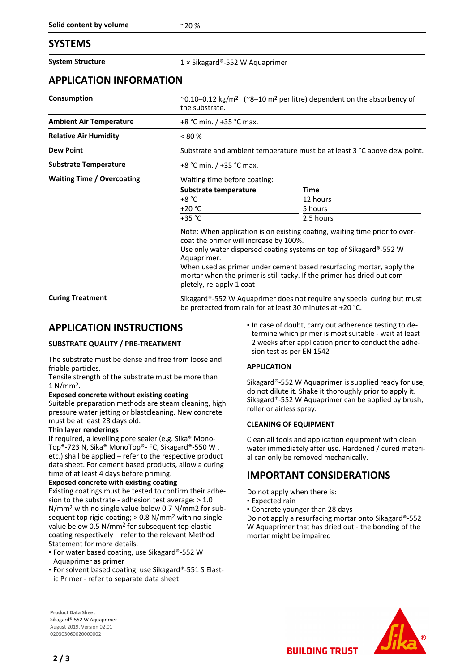## **SYSTEMS**

**System Structure** 1 × Sikagard®-552 W Aquaprimer

## **APPLICATION INFORMATION**

| Consumption                       | $\sim$ 0.10–0.12 kg/m <sup>2</sup> ( $\sim$ 8–10 m <sup>2</sup> per litre) dependent on the absorbency of<br>the substrate.                                                                                                                                                                                                                                                              |             |  |
|-----------------------------------|------------------------------------------------------------------------------------------------------------------------------------------------------------------------------------------------------------------------------------------------------------------------------------------------------------------------------------------------------------------------------------------|-------------|--|
| <b>Ambient Air Temperature</b>    | +8 °C min. / +35 °C max.                                                                                                                                                                                                                                                                                                                                                                 |             |  |
| <b>Relative Air Humidity</b>      | $< 80\%$                                                                                                                                                                                                                                                                                                                                                                                 |             |  |
| <b>Dew Point</b>                  | Substrate and ambient temperature must be at least 3 °C above dew point.                                                                                                                                                                                                                                                                                                                 |             |  |
| <b>Substrate Temperature</b>      | +8 °C min. / +35 °C max.                                                                                                                                                                                                                                                                                                                                                                 |             |  |
| <b>Waiting Time / Overcoating</b> | Waiting time before coating:                                                                                                                                                                                                                                                                                                                                                             |             |  |
|                                   | Substrate temperature                                                                                                                                                                                                                                                                                                                                                                    | <b>Time</b> |  |
|                                   | +8 °C                                                                                                                                                                                                                                                                                                                                                                                    | 12 hours    |  |
|                                   | $+20 °C$                                                                                                                                                                                                                                                                                                                                                                                 | 5 hours     |  |
|                                   | +35 °C                                                                                                                                                                                                                                                                                                                                                                                   | 2.5 hours   |  |
|                                   | Note: When application is on existing coating, waiting time prior to over-<br>coat the primer will increase by 100%.<br>Use only water dispersed coating systems on top of Sikagard®-552 W<br>Aquaprimer.<br>When used as primer under cement based resurfacing mortar, apply the<br>mortar when the primer is still tacky. If the primer has dried out com-<br>pletely, re-apply 1 coat |             |  |
| <b>Curing Treatment</b>           | Sikagard®-552 W Aquaprimer does not require any special curing but must<br>be protected from rain for at least 30 minutes at +20 °C.                                                                                                                                                                                                                                                     |             |  |

## **APPLICATION INSTRUCTIONS**

#### **SUBSTRATE QUALITY / PRE-TREATMENT**

The substrate must be dense and free from loose and friable particles.

Tensile strength of the substrate must be more than 1 N/mm2.

#### **Exposed concrete without existing coating**

Suitable preparation methods are steam cleaning, high pressure water jetting or blastcleaning. New concrete must be at least 28 days old.

#### **Thin layer renderings**

If required, a levelling pore sealer (e.g. Sika® Mono-Top®-723 N, Sika® MonoTop®- FC, Sikagard®-550 W , etc.) shall be applied – refer to the respective product data sheet. For cement based products, allow a curing time of at least 4 days before priming.

#### **Exposed concrete with existing coating**

Existing coatings must be tested to confirm their adhesion to the substrate - adhesion test average: > 1.0 N/mm2 with no single value below 0.7 N/mm2 for subsequent top rigid coating; > 0.8 N/mm2 with no single value below 0.5 N/mm2 for subsequent top elastic coating respectively – refer to the relevant Method Statement for more details.

- For water based coating, use Sikagard®-552 W Aquaprimer as primer
- For solvent based coating, use Sikagard®-551 S Elastic Primer - refer to separate data sheet

In case of doubt, carry out adherence testing to determine which primer is most suitable - wait at least 2 weeks after application prior to conduct the adhesion test as per EN 1542

#### **APPLICATION**

Sikagard®-552 W Aquaprimer is supplied ready for use; do not dilute it. Shake it thoroughly prior to apply it. Sikagard®-552 W Aquaprimer can be applied by brush, roller or airless spray.

#### **CLEANING OF EQUIPMENT**

Clean all tools and application equipment with clean water immediately after use. Hardened / cured material can only be removed mechanically.

## **IMPORTANT CONSIDERATIONS**

**BUILDING TRUST** 

Do not apply when there is:

- **Expected rain**
- Concrete younger than 28 days

Do not apply a resurfacing mortar onto Sikagard®-552 W Aquaprimer that has dried out - the bonding of the mortar might be impaired

**Product Data Sheet** Sikagard®-552 W Aquaprimer August 2019, Version 02.01 020303060020000002